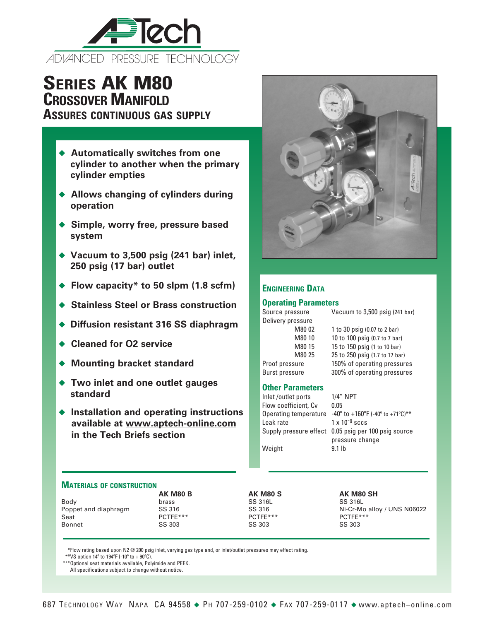

# **Series AK M80 Crossover Manifold**

**Assures continuous gas supply**

- ◆ Automatically switches from one **cylinder to another when the primary cylinder empties**
- ◆ Allows changing of cylinders during **operation**
- ◆ Simple, worry free, pressure based **system**
- ◆ Vacuum to 3,500 psig (241 bar) inlet, **250 psig (17 bar) outlet**
- ◆ Flow capacity<sup>\*</sup> to 50 slpm (1.8 scfm)
- ◆ Stainless Steel or Brass construction
- ◆ Diffusion resistant 316 SS diaphragm
- ◆ Cleaned for O<sub>2</sub> service
- ◆ Mounting bracket standard
- ◆ Two inlet and one outlet gauges **standard**
- ◆ Installation and operating instructions **available at www.aptech-online.com in the Tech Briefs section**



# **Engineering Data**

## **Operating Parameters**

Delivery pressure

Source pressure Vacuum to 3,500 psig (241 bar)

M80 02 1 to 30 psig (0.07 to 2 bar) M80 10 10 to 100 psig (0.7 to 7 bar) M80 15 15 to 150 psig (1 to 10 bar) M80 25 25 to 250 psig (1.7 to 17 bar) Proof pressure 150% of operating pressures Burst pressure 300% of operating pressures

#### **Other Parameters**

Inlet /outlet ports 1/4" NPT Flow coefficient, Cv 0.05 Operating temperature  $-40^\circ$  to  $+160^\circ$ F (-40 $^\circ$  to  $+71^\circ$ C)\*\* Leak rate  $1 \times 10^{-9}$  sccs Supply pressure effect 0.05 psig per 100 psig source pressure change Weight 9.1 lb

### **Materials of construction**

|                      | <b>AK M80 B</b> | <b>AK M80 S</b> | AK M80 SH                   |
|----------------------|-----------------|-----------------|-----------------------------|
| Body                 | brass           | SS 316L         | SS 316L                     |
| Poppet and diaphragm | SS 316          | SS 316          | Ni-Cr-Mo alloy / UNS N06022 |
| Seat                 | $PCTFF***$      | $PCTFF***$      | $PCTFF***$                  |
| <b>Bonnet</b>        | SS 303          | SS 303          | SS 303                      |
|                      |                 |                 |                             |

\*Flow rating based upon N2 @ 200 psig inlet, varying gas type and, or inlet/outlet pressures may effect rating.

\*\*VS option  $14^{\circ}$  to  $194^{\circ}$ F (-10 $^{\circ}$  to +  $90^{\circ}$ C).

\*\*\*Optional seat materials available, Polyimide and PEEK.

All specifications subject to change without notice.